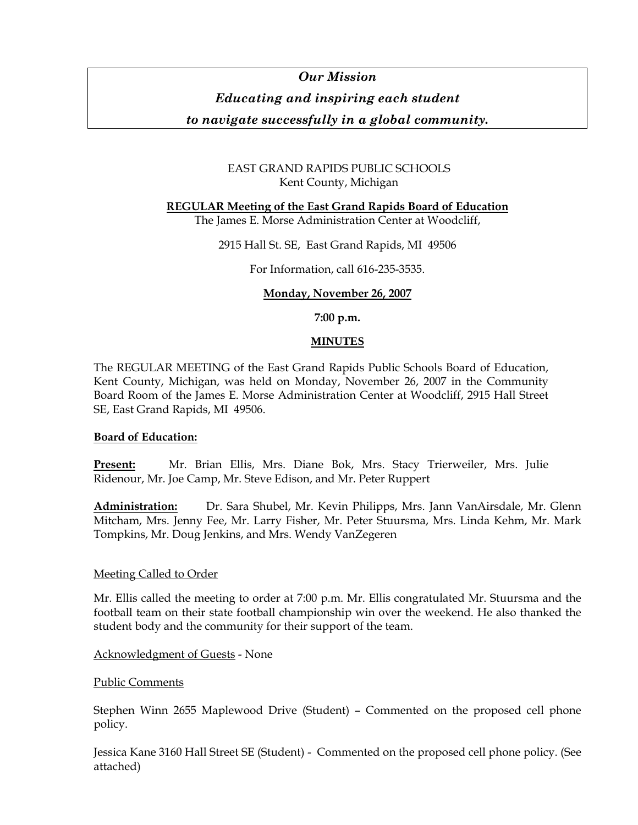# *Our Mission*

## *Educating and inspiring each student*

*to navigate successfully in a global community.* 

### EAST GRAND RAPIDS PUBLIC SCHOOLS Kent County, Michigan

### **REGULAR Meeting of the East Grand Rapids Board of Education**

The James E. Morse Administration Center at Woodcliff,

2915 Hall St. SE, East Grand Rapids, MI 49506

For Information, call 616-235-3535.

### **Monday, November 26, 2007**

**7:00 p.m.** 

### **MINUTES**

The REGULAR MEETING of the East Grand Rapids Public Schools Board of Education, Kent County, Michigan, was held on Monday, November 26, 2007 in the Community Board Room of the James E. Morse Administration Center at Woodcliff, 2915 Hall Street SE, East Grand Rapids, MI 49506.

### **Board of Education:**

**Present:** Mr. Brian Ellis, Mrs. Diane Bok, Mrs. Stacy Trierweiler, Mrs. Julie Ridenour, Mr. Joe Camp, Mr. Steve Edison, and Mr. Peter Ruppert

**Administration:** Dr. Sara Shubel, Mr. Kevin Philipps, Mrs. Jann VanAirsdale, Mr. Glenn Mitcham, Mrs. Jenny Fee, Mr. Larry Fisher, Mr. Peter Stuursma, Mrs. Linda Kehm, Mr. Mark Tompkins, Mr. Doug Jenkins, and Mrs. Wendy VanZegeren

### Meeting Called to Order

Mr. Ellis called the meeting to order at 7:00 p.m. Mr. Ellis congratulated Mr. Stuursma and the football team on their state football championship win over the weekend. He also thanked the student body and the community for their support of the team.

Acknowledgment of Guests - None

#### Public Comments

Stephen Winn 2655 Maplewood Drive (Student) – Commented on the proposed cell phone policy.

Jessica Kane 3160 Hall Street SE (Student) - Commented on the proposed cell phone policy. (See attached)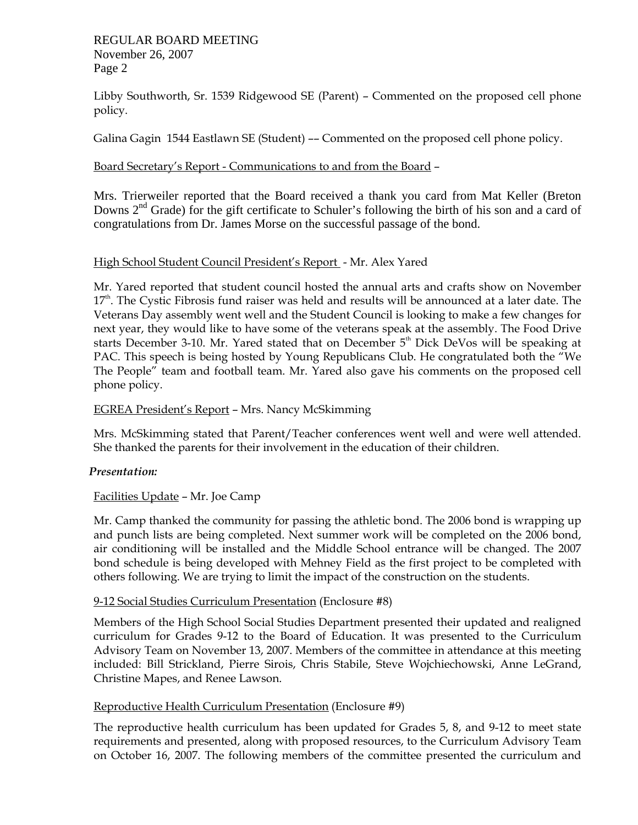#### REGULAR BOARD MEETING November 26, 2007 Page 2

Libby Southworth, Sr. 1539 Ridgewood SE (Parent) – Commented on the proposed cell phone policy.

Galina Gagin 1544 Eastlawn SE (Student) –– Commented on the proposed cell phone policy.

### Board Secretary's Report - Communications to and from the Board –

Mrs. Trierweiler reported that the Board received a thank you card from Mat Keller (Breton Downs  $2<sup>nd</sup>$  Grade) for the gift certificate to Schuler's following the birth of his son and a card of congratulations from Dr. James Morse on the successful passage of the bond.

### High School Student Council President's Report - Mr. Alex Yared

Mr. Yared reported that student council hosted the annual arts and crafts show on November  $17<sup>th</sup>$ . The Cystic Fibrosis fund raiser was held and results will be announced at a later date. The Veterans Day assembly went well and the Student Council is looking to make a few changes for next year, they would like to have some of the veterans speak at the assembly. The Food Drive starts December 3-10. Mr. Yared stated that on December  $5<sup>th</sup>$  Dick DeVos will be speaking at PAC. This speech is being hosted by Young Republicans Club. He congratulated both the "We The People" team and football team. Mr. Yared also gave his comments on the proposed cell phone policy.

#### EGREA President's Report – Mrs. Nancy McSkimming

Mrs. McSkimming stated that Parent/Teacher conferences went well and were well attended. She thanked the parents for their involvement in the education of their children.

### *Presentation:*

### Facilities Update – Mr. Joe Camp

Mr. Camp thanked the community for passing the athletic bond. The 2006 bond is wrapping up and punch lists are being completed. Next summer work will be completed on the 2006 bond, air conditioning will be installed and the Middle School entrance will be changed. The 2007 bond schedule is being developed with Mehney Field as the first project to be completed with others following. We are trying to limit the impact of the construction on the students.

### 9-12 Social Studies Curriculum Presentation (Enclosure #8)

Members of the High School Social Studies Department presented their updated and realigned curriculum for Grades 9-12 to the Board of Education. It was presented to the Curriculum Advisory Team on November 13, 2007. Members of the committee in attendance at this meeting included: Bill Strickland, Pierre Sirois, Chris Stabile, Steve Wojchiechowski, Anne LeGrand, Christine Mapes, and Renee Lawson.

### Reproductive Health Curriculum Presentation (Enclosure #9)

The reproductive health curriculum has been updated for Grades 5, 8, and 9-12 to meet state requirements and presented, along with proposed resources, to the Curriculum Advisory Team on October 16, 2007. The following members of the committee presented the curriculum and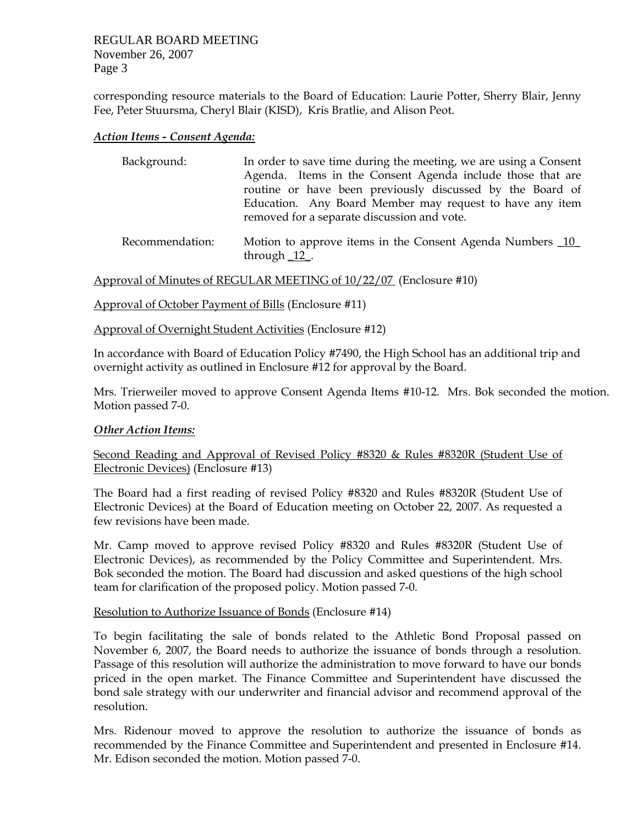REGULAR BOARD MEETING November 26, 2007 Page 3

corresponding resource materials to the Board of Education: Laurie Potter, Sherry Blair, Jenny Fee, Peter Stuursma, Cheryl Blair (KISD), Kris Bratlie, and Alison Peot.

#### *Action Items - Consent Agenda:*

| Background:     | In order to save time during the meeting, we are using a Consent<br>Agenda. Items in the Consent Agenda include those that are<br>routine or have been previously discussed by the Board of<br>Education. Any Board Member may request to have any item<br>removed for a separate discussion and vote. |
|-----------------|--------------------------------------------------------------------------------------------------------------------------------------------------------------------------------------------------------------------------------------------------------------------------------------------------------|
| Rocommondation: | Motion to approve itoms in the Consent Agonda Numbers 10                                                                                                                                                                                                                                               |

Recommendation: Motion to approve items in the Consent Agenda Numbers 10 through  $\frac{12}{12}$ .

Approval of Minutes of REGULAR MEETING of 10/22/07 (Enclosure #10)

Approval of October Payment of Bills (Enclosure #11)

Approval of Overnight Student Activities (Enclosure #12)

In accordance with Board of Education Policy #7490, the High School has an additional trip and overnight activity as outlined in Enclosure #12 for approval by the Board.

Mrs. Trierweiler moved to approve Consent Agenda Items #10-12. Mrs. Bok seconded the motion. Motion passed 7-0.

#### *Other Action Items:*

Second Reading and Approval of Revised Policy #8320 & Rules #8320R (Student Use of Electronic Devices) (Enclosure #13)

The Board had a first reading of revised Policy #8320 and Rules #8320R (Student Use of Electronic Devices) at the Board of Education meeting on October 22, 2007. As requested a few revisions have been made.

Mr. Camp moved to approve revised Policy #8320 and Rules #8320R (Student Use of Electronic Devices), as recommended by the Policy Committee and Superintendent. Mrs. Bok seconded the motion. The Board had discussion and asked questions of the high school team for clarification of the proposed policy. Motion passed 7-0.

#### Resolution to Authorize Issuance of Bonds (Enclosure #14)

To begin facilitating the sale of bonds related to the Athletic Bond Proposal passed on November 6, 2007, the Board needs to authorize the issuance of bonds through a resolution. Passage of this resolution will authorize the administration to move forward to have our bonds priced in the open market. The Finance Committee and Superintendent have discussed the bond sale strategy with our underwriter and financial advisor and recommend approval of the resolution.

Mrs. Ridenour moved to approve the resolution to authorize the issuance of bonds as recommended by the Finance Committee and Superintendent and presented in Enclosure #14. Mr. Edison seconded the motion. Motion passed 7-0.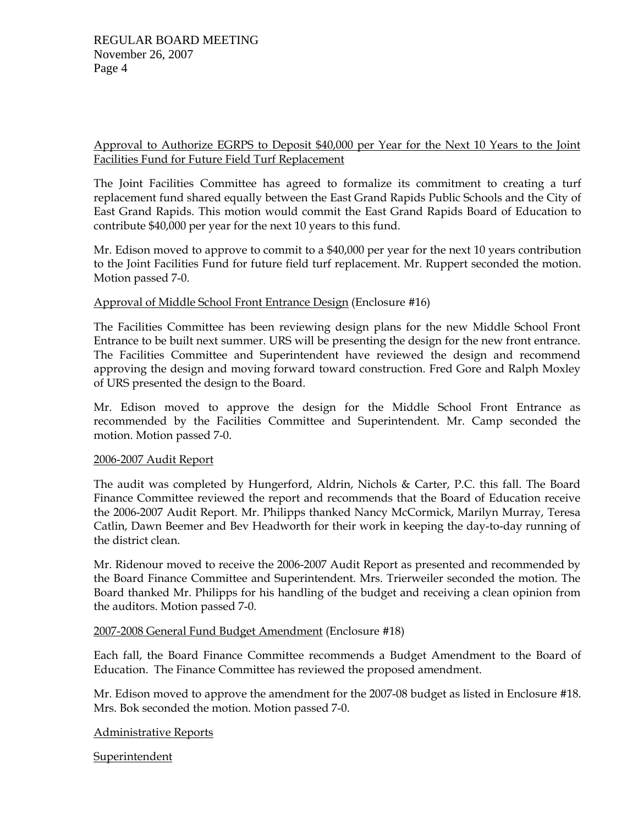### Approval to Authorize EGRPS to Deposit \$40,000 per Year for the Next 10 Years to the Joint Facilities Fund for Future Field Turf Replacement

The Joint Facilities Committee has agreed to formalize its commitment to creating a turf replacement fund shared equally between the East Grand Rapids Public Schools and the City of East Grand Rapids. This motion would commit the East Grand Rapids Board of Education to contribute \$40,000 per year for the next 10 years to this fund.

Mr. Edison moved to approve to commit to a \$40,000 per year for the next 10 years contribution to the Joint Facilities Fund for future field turf replacement. Mr. Ruppert seconded the motion. Motion passed 7-0.

#### Approval of Middle School Front Entrance Design (Enclosure #16)

The Facilities Committee has been reviewing design plans for the new Middle School Front Entrance to be built next summer. URS will be presenting the design for the new front entrance. The Facilities Committee and Superintendent have reviewed the design and recommend approving the design and moving forward toward construction. Fred Gore and Ralph Moxley of URS presented the design to the Board.

Mr. Edison moved to approve the design for the Middle School Front Entrance as recommended by the Facilities Committee and Superintendent. Mr. Camp seconded the motion. Motion passed 7-0.

#### 2006-2007 Audit Report

The audit was completed by Hungerford, Aldrin, Nichols & Carter, P.C. this fall. The Board Finance Committee reviewed the report and recommends that the Board of Education receive the 2006-2007 Audit Report. Mr. Philipps thanked Nancy McCormick, Marilyn Murray, Teresa Catlin, Dawn Beemer and Bev Headworth for their work in keeping the day-to-day running of the district clean.

Mr. Ridenour moved to receive the 2006-2007 Audit Report as presented and recommended by the Board Finance Committee and Superintendent. Mrs. Trierweiler seconded the motion. The Board thanked Mr. Philipps for his handling of the budget and receiving a clean opinion from the auditors. Motion passed 7-0.

### 2007-2008 General Fund Budget Amendment (Enclosure #18)

Each fall, the Board Finance Committee recommends a Budget Amendment to the Board of Education. The Finance Committee has reviewed the proposed amendment.

Mr. Edison moved to approve the amendment for the 2007-08 budget as listed in Enclosure #18. Mrs. Bok seconded the motion. Motion passed 7-0.

### Administrative Reports

Superintendent